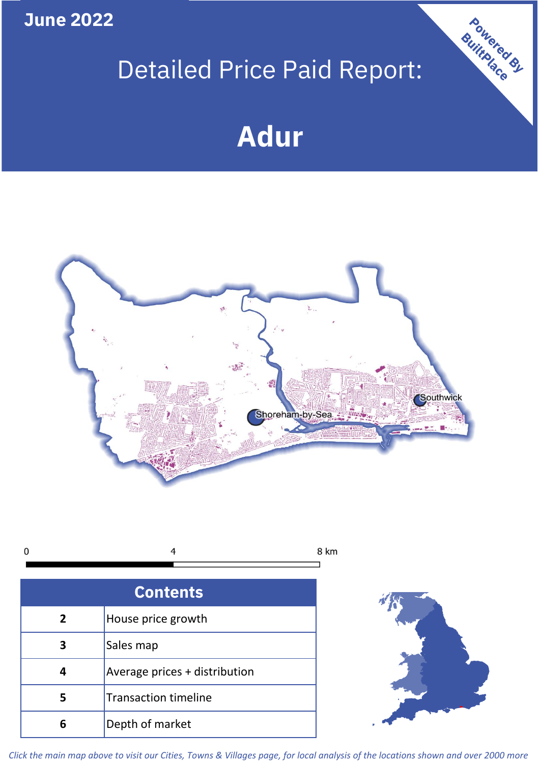**June 2022**

# Detailed Price Paid Report:

# **Adur**





| <b>Contents</b> |                               |  |  |
|-----------------|-------------------------------|--|--|
| $\overline{2}$  | House price growth            |  |  |
| 3               | Sales map                     |  |  |
|                 | Average prices + distribution |  |  |
| 5               | <b>Transaction timeline</b>   |  |  |
| 6               | Depth of market               |  |  |



Powered By

*Click the main map above to visit our Cities, Towns & Villages page, for local analysis of the locations shown and over 2000 more*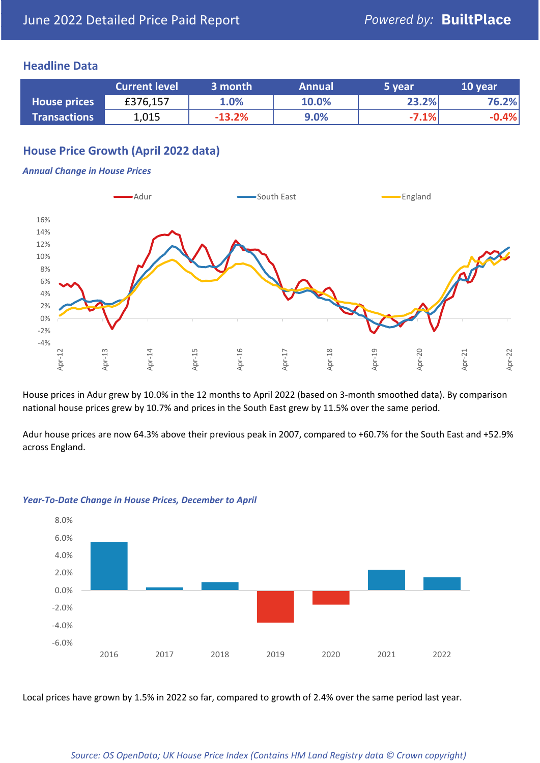### **Headline Data**

|                     | <b>Current level</b> | 3 month  | <b>Annual</b> | 5 vear  | 10 year |
|---------------------|----------------------|----------|---------------|---------|---------|
| <b>House prices</b> | £376,157             | 1.0%     | 10.0%         | 23.2%   | 76.2%   |
| <b>Transactions</b> | 1,015                | $-13.2%$ | 9.0%          | $-7.1%$ | $-0.4%$ |

# **House Price Growth (April 2022 data)**

#### *Annual Change in House Prices*



House prices in Adur grew by 10.0% in the 12 months to April 2022 (based on 3-month smoothed data). By comparison national house prices grew by 10.7% and prices in the South East grew by 11.5% over the same period.

Adur house prices are now 64.3% above their previous peak in 2007, compared to +60.7% for the South East and +52.9% across England.



#### *Year-To-Date Change in House Prices, December to April*

Local prices have grown by 1.5% in 2022 so far, compared to growth of 2.4% over the same period last year.

#### *Source: OS OpenData; UK House Price Index (Contains HM Land Registry data © Crown copyright)*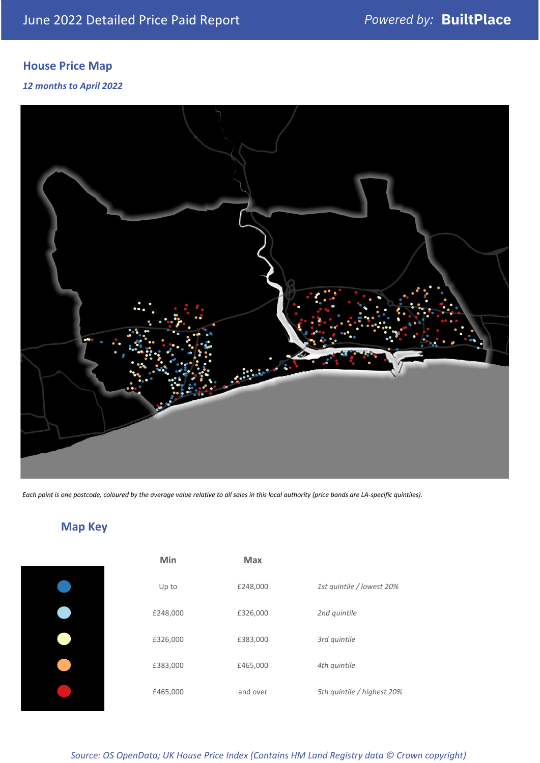# **House Price Map**

*12 months to April 2022*



*Each point is one postcode, coloured by the average value relative to all sales in this local authority (price bands are LA-specific quintiles).*

**Map Key**

| Min      | <b>Max</b> |                            |
|----------|------------|----------------------------|
| Up to    | £248,000   | 1st quintile / lowest 20%  |
| £248,000 | £326,000   | 2nd quintile               |
| £326,000 | £383,000   | 3rd quintile               |
| £383,000 | £465,000   | 4th quintile               |
| £465,000 | and over   | 5th quintile / highest 20% |

# *Source: OS OpenData; UK House Price Index (Contains HM Land Registry data © Crown copyright)*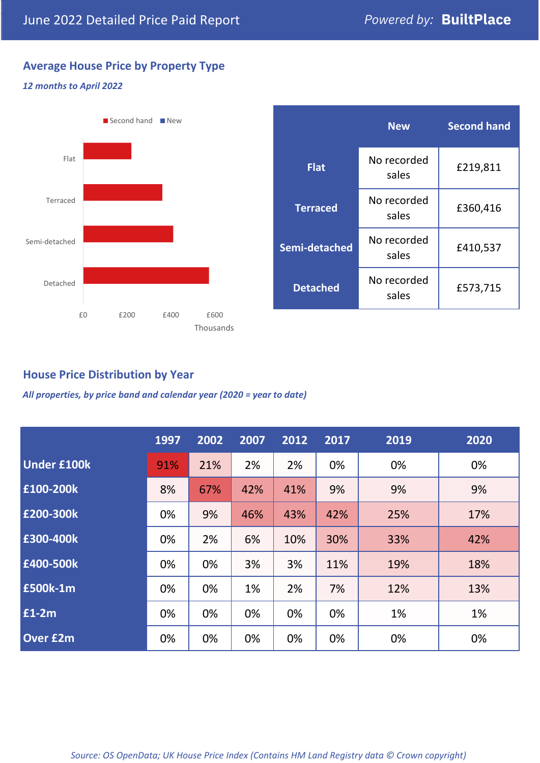# **Average House Price by Property Type**

#### *12 months to April 2022*



# **House Price Distribution by Year**

*All properties, by price band and calendar year (2020 = year to date)*

|                    | 1997 | 2002 | 2007 | 2012 | 2017 | 2019 | 2020 |
|--------------------|------|------|------|------|------|------|------|
| <b>Under £100k</b> | 91%  | 21%  | 2%   | 2%   | 0%   | 0%   | 0%   |
| £100-200k          | 8%   | 67%  | 42%  | 41%  | 9%   | 9%   | 9%   |
| E200-300k          | 0%   | 9%   | 46%  | 43%  | 42%  | 25%  | 17%  |
| £300-400k          | 0%   | 2%   | 6%   | 10%  | 30%  | 33%  | 42%  |
| £400-500k          | 0%   | 0%   | 3%   | 3%   | 11%  | 19%  | 18%  |
| <b>£500k-1m</b>    | 0%   | 0%   | 1%   | 2%   | 7%   | 12%  | 13%  |
| £1-2m              | 0%   | 0%   | 0%   | 0%   | 0%   | 1%   | 1%   |
| <b>Over £2m</b>    | 0%   | 0%   | 0%   | 0%   | 0%   | 0%   | 0%   |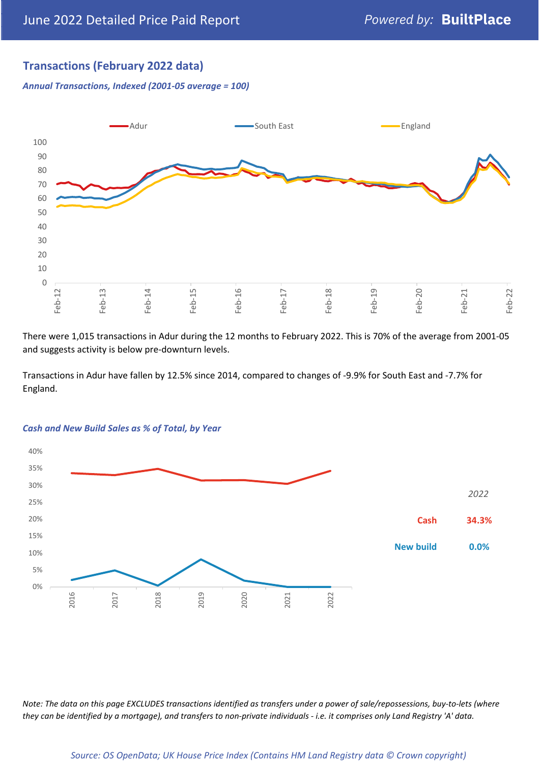# **Transactions (February 2022 data)**

*Annual Transactions, Indexed (2001-05 average = 100)*



There were 1,015 transactions in Adur during the 12 months to February 2022. This is 70% of the average from 2001-05 and suggests activity is below pre-downturn levels.

Transactions in Adur have fallen by 12.5% since 2014, compared to changes of -9.9% for South East and -7.7% for England.



#### *Cash and New Build Sales as % of Total, by Year*

*Note: The data on this page EXCLUDES transactions identified as transfers under a power of sale/repossessions, buy-to-lets (where they can be identified by a mortgage), and transfers to non-private individuals - i.e. it comprises only Land Registry 'A' data.*